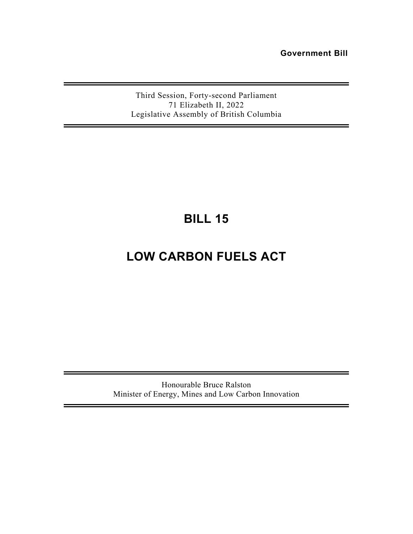**Government Bill** 

Third Session, Forty-second Parliament 71 Elizabeth II, 2022 Legislative Assembly of British Columbia

# **BILL 15**

# **LOW CARBON FUELS ACT**

Honourable Bruce Ralston Minister of Energy, Mines and Low Carbon Innovation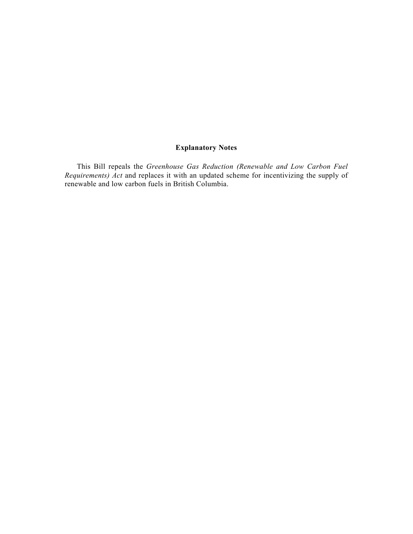# **Explanatory Notes**

This Bill repeals the *Greenhouse Gas Reduction (Renewable and Low Carbon Fuel Requirements) Act* and replaces it with an updated scheme for incentivizing the supply of renewable and low carbon fuels in British Columbia.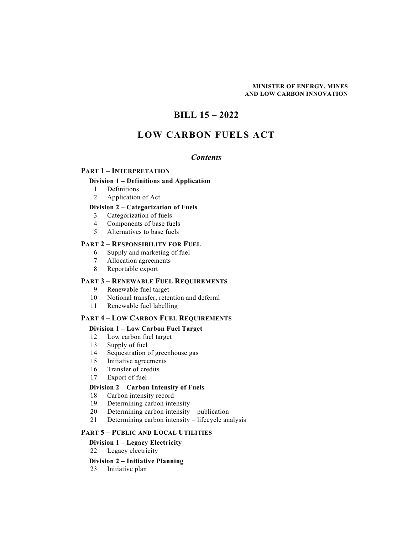#### **MINISTER OF ENERGY, MINES AND LOW CARBON INNOVATION**

# **BILL 15 – 2022**

# **LOW CARBON FUELS ACT**

# *Contents*

#### **PART 1 – INTERPRETATION**

# **Division 1 – Definitions and Application**

- 1 Definitions
- 2 Application of Act

# **Division 2 – Categorization of Fuels**

- 3 Categorization of fuels
- 4 Components of base fuels
- 5 Alternatives to base fuels

# **PART 2 – RESPONSIBILITY FOR FUEL**

- 6 Supply and marketing of fuel
- 7 Allocation agreements
- 8 Reportable export

#### **PART 3 – RENEWABLE FUEL REQUIREMENTS**

- 9 Renewable fuel target
- 10 Notional transfer, retention and deferral
- 11 Renewable fuel labelling

#### **PART 4 – LOW CARBON FUEL REQUIREMENTS**

# **Division 1 – Low Carbon Fuel Target**

- 12 Low carbon fuel target
- 13 Supply of fuel
- 14 Sequestration of greenhouse gas
- 15 Initiative agreements
- 16 Transfer of credits
- 17 Export of fuel

#### **Division 2 – Carbon Intensity of Fuels**

- 18 Carbon intensity record
- 19 Determining carbon intensity
- 20 Determining carbon intensity publication
- 21 Determining carbon intensity lifecycle analysis

#### **PART 5 – PUBLIC AND LOCAL UTILITIES**

#### **Division 1 – Legacy Electricity**

22 Legacy electricity

#### **Division 2 – Initiative Planning**

23 Initiative plan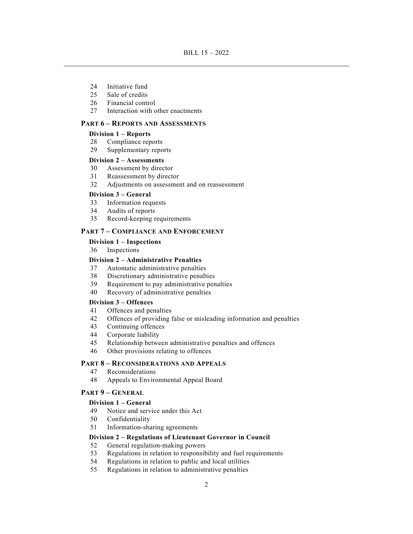- 24 Initiative fund
- 25 Sale of credits
- 26 Financial control
- 27 Interaction with other enactments

#### **PART 6 – REPORTS AND ASSESSMENTS**

#### **Division 1 – Reports**

- 28 Compliance reports
- 29 Supplementary reports

#### **Division 2 – Assessments**

- 30 Assessment by director
- 31 Reassessment by director
- 32 Adjustments on assessment and on reassessment

#### **Division 3 – General**

- 33 Information requests
- 34 Audits of reports
- 35 Record-keeping requirements

### **PART 7 – COMPLIANCE AND ENFORCEMENT**

#### **Division 1 – Inspections**

36 Inspections

### **Division 2 – Administrative Penalties**

- 37 Automatic administrative penalties
- 38 Discretionary administrative penalties
- 39 Requirement to pay administrative penalties
- 40 Recovery of administrative penalties

#### **Division 3 – Offences**

- 41 Offences and penalties
- 42 Offences of providing false or misleading information and penalties
- 43 Continuing offences
- 44 Corporate liability
- 45 Relationship between administrative penalties and offences
- 46 Other provisions relating to offences

# **PART 8 – RECONSIDERATIONS AND APPEALS**

- 47 Reconsiderations
- 48 Appeals to Environmental Appeal Board

# **PART 9 – GENERAL**

# **Division 1 – General**

- 49 Notice and service under this Act
- 50 Confidentiality
- 51 Information-sharing agreements

#### **Division 2 – Regulations of Lieutenant Governor in Council**

- 52 General regulation-making powers
- 53 Regulations in relation to responsibility and fuel requirements
- 54 Regulations in relation to public and local utilities
- 55 Regulations in relation to administrative penalties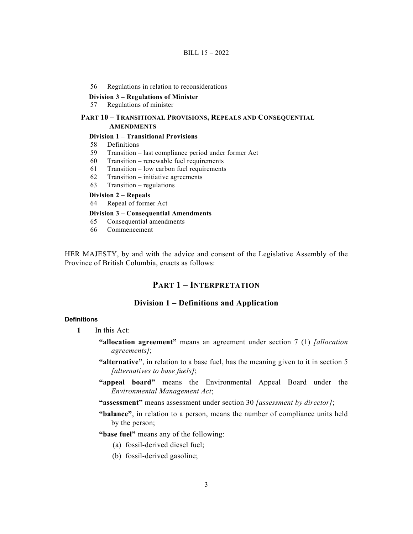#### 56 Regulations in relation to reconsiderations

#### **Division 3 – Regulations of Minister**

57 Regulations of minister

#### **PART 10 – TRANSITIONAL PROVISIONS, REPEALS AND CONSEQUENTIAL AMENDMENTS**

# **Division 1 – Transitional Provisions**

- 58 Definitions
- 59 Transition last compliance period under former Act
- 60 Transition renewable fuel requirements
- 61 Transition low carbon fuel requirements
- 62 Transition initiative agreements
- 63 Transition regulations

## **Division 2 – Repeals**

64 Repeal of former Act

#### **Division 3 – Consequential Amendments**

- 65 Consequential amendments
- 66 Commencement

HER MAJESTY, by and with the advice and consent of the Legislative Assembly of the Province of British Columbia, enacts as follows:

# **PART 1 – INTERPRETATION**

#### **Division 1 – Definitions and Application**

# **Definitions**

- **1** In this Act:
	- **"allocation agreement"** means an agreement under section 7 (1) *[allocation agreements]*;
	- **"alternative"**, in relation to a base fuel, has the meaning given to it in section 5 *[alternatives to base fuels]*;
	- **"appeal board"** means the Environmental Appeal Board under the *Environmental Management Act*;
	- **"assessment"** means assessment under section 30 *[assessment by director]*;
	- **"balance"**, in relation to a person, means the number of compliance units held by the person;
	- **"base fuel"** means any of the following:
		- (a) fossil-derived diesel fuel;
		- (b) fossil-derived gasoline;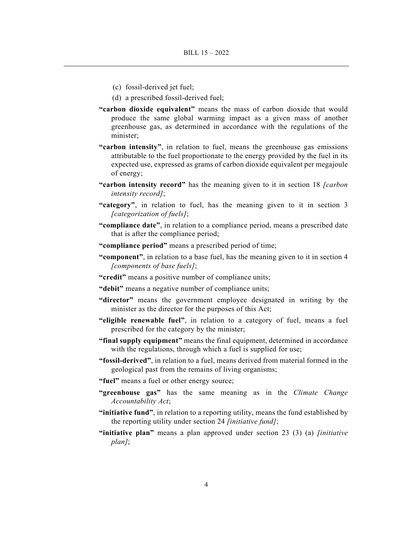- (c) fossil-derived jet fuel;
- (d) a prescribed fossil-derived fuel;
- **"carbon dioxide equivalent"** means the mass of carbon dioxide that would produce the same global warming impact as a given mass of another greenhouse gas, as determined in accordance with the regulations of the minister;
- **"carbon intensity"**, in relation to fuel, means the greenhouse gas emissions attributable to the fuel proportionate to the energy provided by the fuel in its expected use, expressed as grams of carbon dioxide equivalent per megajoule of energy;
- **"carbon intensity record"** has the meaning given to it in section 18 *[carbon intensity record]*;
- **"category"**, in relation to fuel, has the meaning given to it in section 3 *[categorization of fuels]*;
- **"compliance date"**, in relation to a compliance period, means a prescribed date that is after the compliance period;
- **"compliance period"** means a prescribed period of time;
- **"component"**, in relation to a base fuel, has the meaning given to it in section 4 *[components of base fuels]*;
- **"credit"** means a positive number of compliance units;
- **"debit"** means a negative number of compliance units;
- **"director"** means the government employee designated in writing by the minister as the director for the purposes of this Act;
- **"eligible renewable fuel"**, in relation to a category of fuel, means a fuel prescribed for the category by the minister;
- **"final supply equipment"** means the final equipment, determined in accordance with the regulations, through which a fuel is supplied for use;
- **"fossil-derived"**, in relation to a fuel, means derived from material formed in the geological past from the remains of living organisms;
- **"fuel"** means a fuel or other energy source;
- **"greenhouse gas"** has the same meaning as in the *Climate Change Accountability Act*;
- **"initiative fund"**, in relation to a reporting utility, means the fund established by the reporting utility under section 24 *[initiative fund]*;
- **"initiative plan"** means a plan approved under section 23 (3) (a) *[initiative plan]*;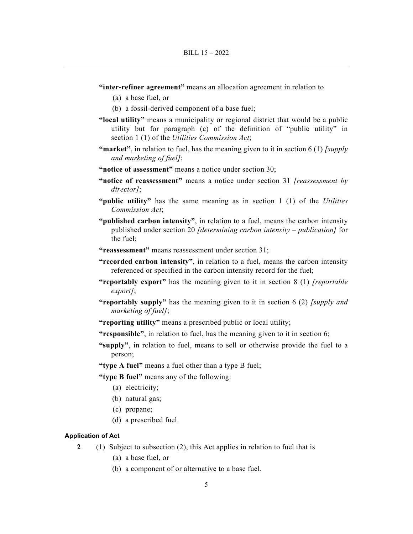- **"inter-refiner agreement"** means an allocation agreement in relation to
	- (a) a base fuel, or
	- (b) a fossil-derived component of a base fuel;
- **"local utility"** means a municipality or regional district that would be a public utility but for paragraph (c) of the definition of "public utility" in section 1 (1) of the *Utilities Commission Act*;
- **"market"**, in relation to fuel, has the meaning given to it in section 6 (1) *[supply and marketing of fuel]*;
- **"notice of assessment"** means a notice under section 30;
- **"notice of reassessment"** means a notice under section 31 *[reassessment by director]*;
- **"public utility"** has the same meaning as in section 1 (1) of the *Utilities Commission Act*;
- **"published carbon intensity"**, in relation to a fuel, means the carbon intensity published under section 20 *[determining carbon intensity – publication]* for the fuel;
- **"reassessment"** means reassessment under section 31;
- **"recorded carbon intensity"**, in relation to a fuel, means the carbon intensity referenced or specified in the carbon intensity record for the fuel;
- **"reportably export"** has the meaning given to it in section 8 (1) *[reportable export]*;
- **"reportably supply"** has the meaning given to it in section 6 (2) *[supply and marketing of fuel]*;
- **"reporting utility"** means a prescribed public or local utility;
- **"responsible"**, in relation to fuel, has the meaning given to it in section 6;
- **"supply"**, in relation to fuel, means to sell or otherwise provide the fuel to a person;
- **"type A fuel"** means a fuel other than a type B fuel;
- **"type B fuel"** means any of the following:
	- (a) electricity;
	- (b) natural gas;
	- (c) propane;
	- (d) a prescribed fuel.

#### **Application of Act**

- **2** (1) Subject to subsection (2), this Act applies in relation to fuel that is
	- (a) a base fuel, or
	- (b) a component of or alternative to a base fuel.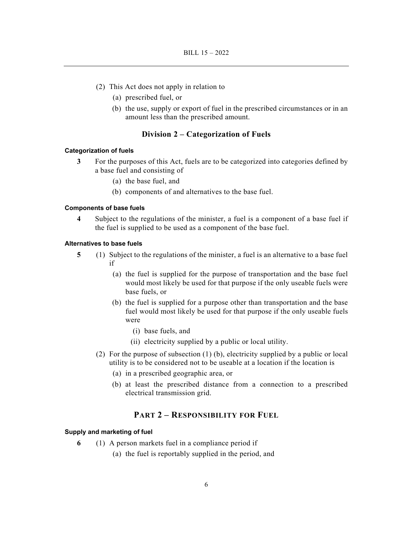- (2) This Act does not apply in relation to
	- (a) prescribed fuel, or
	- (b) the use, supply or export of fuel in the prescribed circumstances or in an amount less than the prescribed amount.

# **Division 2 – Categorization of Fuels**

#### **Categorization of fuels**

- **3** For the purposes of this Act, fuels are to be categorized into categories defined by a base fuel and consisting of
	- (a) the base fuel, and
	- (b) components of and alternatives to the base fuel.

#### **Components of base fuels**

 **4** Subject to the regulations of the minister, a fuel is a component of a base fuel if the fuel is supplied to be used as a component of the base fuel.

#### **Alternatives to base fuels**

- **5** (1) Subject to the regulations of the minister, a fuel is an alternative to a base fuel if
	- (a) the fuel is supplied for the purpose of transportation and the base fuel would most likely be used for that purpose if the only useable fuels were base fuels, or
	- (b) the fuel is supplied for a purpose other than transportation and the base fuel would most likely be used for that purpose if the only useable fuels were
		- (i) base fuels, and
		- (ii) electricity supplied by a public or local utility.
	- (2) For the purpose of subsection (1) (b), electricity supplied by a public or local utility is to be considered not to be useable at a location if the location is
		- (a) in a prescribed geographic area, or
		- (b) at least the prescribed distance from a connection to a prescribed electrical transmission grid.

# **PART 2 – RESPONSIBILITY FOR FUEL**

#### **Supply and marketing of fuel**

- **6** (1) A person markets fuel in a compliance period if
	- (a) the fuel is reportably supplied in the period, and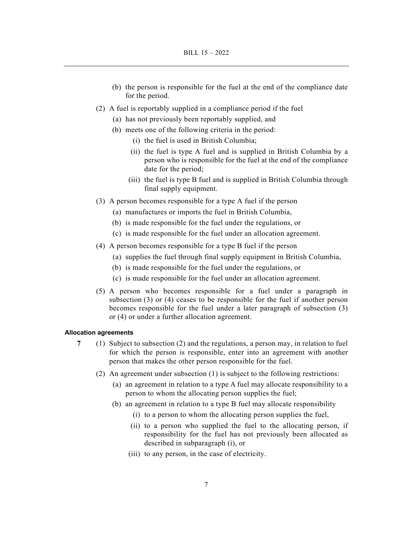- (b) the person is responsible for the fuel at the end of the compliance date for the period.
- (2) A fuel is reportably supplied in a compliance period if the fuel
	- (a) has not previously been reportably supplied, and
	- (b) meets one of the following criteria in the period:
		- (i) the fuel is used in British Columbia;
		- (ii) the fuel is type A fuel and is supplied in British Columbia by a person who is responsible for the fuel at the end of the compliance date for the period;
		- (iii) the fuel is type B fuel and is supplied in British Columbia through final supply equipment.
- (3) A person becomes responsible for a type A fuel if the person
	- (a) manufactures or imports the fuel in British Columbia,
	- (b) is made responsible for the fuel under the regulations, or
	- (c) is made responsible for the fuel under an allocation agreement.
- (4) A person becomes responsible for a type B fuel if the person
	- (a) supplies the fuel through final supply equipment in British Columbia,
	- (b) is made responsible for the fuel under the regulations, or
	- (c) is made responsible for the fuel under an allocation agreement.
- (5) A person who becomes responsible for a fuel under a paragraph in subsection (3) or (4) ceases to be responsible for the fuel if another person becomes responsible for the fuel under a later paragraph of subsection (3) or (4) or under a further allocation agreement.

#### **Allocation agreements**

- **7** (1) Subject to subsection (2) and the regulations, a person may, in relation to fuel for which the person is responsible, enter into an agreement with another person that makes the other person responsible for the fuel.
	- (2) An agreement under subsection (1) is subject to the following restrictions:
		- (a) an agreement in relation to a type A fuel may allocate responsibility to a person to whom the allocating person supplies the fuel;
		- (b) an agreement in relation to a type B fuel may allocate responsibility
			- (i) to a person to whom the allocating person supplies the fuel,
			- (ii) to a person who supplied the fuel to the allocating person, if responsibility for the fuel has not previously been allocated as described in subparagraph (i), or
			- (iii) to any person, in the case of electricity.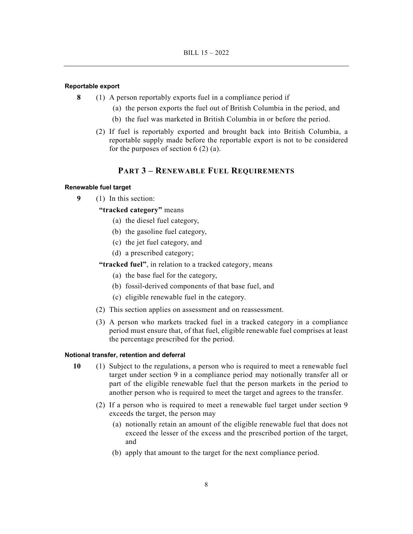#### **Reportable export**

- **8** (1) A person reportably exports fuel in a compliance period if
	- (a) the person exports the fuel out of British Columbia in the period, and
	- (b) the fuel was marketed in British Columbia in or before the period.
	- (2) If fuel is reportably exported and brought back into British Columbia, a reportable supply made before the reportable export is not to be considered for the purposes of section  $6(2)(a)$ .

# **PART 3 – RENEWABLE FUEL REQUIREMENTS**

#### **Renewable fuel target**

- **9** (1) In this section:
	- **"tracked category"** means
		- (a) the diesel fuel category,
		- (b) the gasoline fuel category,
		- (c) the jet fuel category, and
		- (d) a prescribed category;
	- **"tracked fuel"**, in relation to a tracked category, means
		- (a) the base fuel for the category,
		- (b) fossil-derived components of that base fuel, and
		- (c) eligible renewable fuel in the category.
	- (2) This section applies on assessment and on reassessment.
	- (3) A person who markets tracked fuel in a tracked category in a compliance period must ensure that, of that fuel, eligible renewable fuel comprises at least the percentage prescribed for the period.

#### **Notional transfer, retention and deferral**

- **10** (1) Subject to the regulations, a person who is required to meet a renewable fuel target under section 9 in a compliance period may notionally transfer all or part of the eligible renewable fuel that the person markets in the period to another person who is required to meet the target and agrees to the transfer.
	- (2) If a person who is required to meet a renewable fuel target under section 9 exceeds the target, the person may
		- (a) notionally retain an amount of the eligible renewable fuel that does not exceed the lesser of the excess and the prescribed portion of the target, and
		- (b) apply that amount to the target for the next compliance period.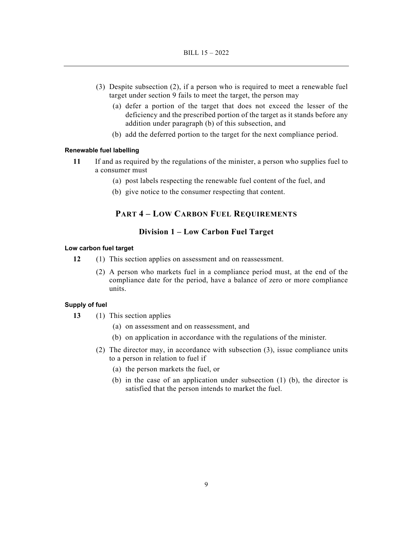- (3) Despite subsection (2), if a person who is required to meet a renewable fuel target under section 9 fails to meet the target, the person may
	- (a) defer a portion of the target that does not exceed the lesser of the deficiency and the prescribed portion of the target as it stands before any addition under paragraph (b) of this subsection, and
	- (b) add the deferred portion to the target for the next compliance period.

#### **Renewable fuel labelling**

- **11** If and as required by the regulations of the minister, a person who supplies fuel to a consumer must
	- (a) post labels respecting the renewable fuel content of the fuel, and
	- (b) give notice to the consumer respecting that content.

# **PART 4 – LOW CARBON FUEL REQUIREMENTS**

# **Division 1 – Low Carbon Fuel Target**

#### **Low carbon fuel target**

- **12** (1) This section applies on assessment and on reassessment.
	- (2) A person who markets fuel in a compliance period must, at the end of the compliance date for the period, have a balance of zero or more compliance units.

# **Supply of fuel**

- **13** (1) This section applies
	- (a) on assessment and on reassessment, and
	- (b) on application in accordance with the regulations of the minister.
	- (2) The director may, in accordance with subsection (3), issue compliance units to a person in relation to fuel if
		- (a) the person markets the fuel, or
		- (b) in the case of an application under subsection (1) (b), the director is satisfied that the person intends to market the fuel.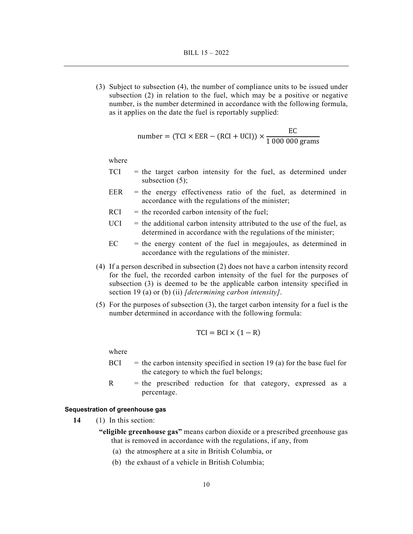(3) Subject to subsection (4), the number of compliance units to be issued under subsection (2) in relation to the fuel, which may be a positive or negative number, is the number determined in accordance with the following formula, as it applies on the date the fuel is reportably supplied:

number = (TCI × EER – (RCI + UCI)) 
$$
\times \frac{EC}{1\,000\,000\,\text{grams}}
$$

where

- $TCI$  = the target carbon intensity for the fuel, as determined under subsection  $(5)$ ;
- $EER$  = the energy effectiveness ratio of the fuel, as determined in accordance with the regulations of the minister;
- $RCI =$  the recorded carbon intensity of the fuel;
- $UCI$  = the additional carbon intensity attributed to the use of the fuel, as determined in accordance with the regulations of the minister;
- $EC =$  the energy content of the fuel in megajoules, as determined in accordance with the regulations of the minister.
- (4) If a person described in subsection (2) does not have a carbon intensity record for the fuel, the recorded carbon intensity of the fuel for the purposes of subsection (3) is deemed to be the applicable carbon intensity specified in section 19 (a) or (b) (ii) *[determining carbon intensity]*.
- (5) For the purposes of subsection (3), the target carbon intensity for a fuel is the number determined in accordance with the following formula:

$$
TCI = BCI \times (1 - R)
$$

where

- $BCI$  = the carbon intensity specified in section 19 (a) for the base fuel for the category to which the fuel belongs;
- $R$  = the prescribed reduction for that category, expressed as a percentage.

#### **Sequestration of greenhouse gas**

**14** (1) In this section:

- **"eligible greenhouse gas"** means carbon dioxide or a prescribed greenhouse gas that is removed in accordance with the regulations, if any, from
	- (a) the atmosphere at a site in British Columbia, or
	- (b) the exhaust of a vehicle in British Columbia;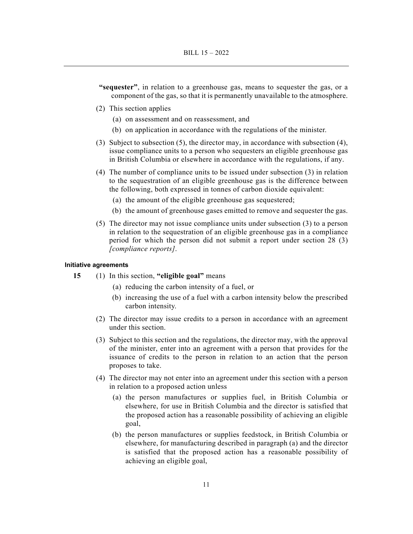- **"sequester"**, in relation to a greenhouse gas, means to sequester the gas, or a component of the gas, so that it is permanently unavailable to the atmosphere.
- (2) This section applies
	- (a) on assessment and on reassessment, and
	- (b) on application in accordance with the regulations of the minister.
- (3) Subject to subsection (5), the director may, in accordance with subsection (4), issue compliance units to a person who sequesters an eligible greenhouse gas in British Columbia or elsewhere in accordance with the regulations, if any.
- (4) The number of compliance units to be issued under subsection (3) in relation to the sequestration of an eligible greenhouse gas is the difference between the following, both expressed in tonnes of carbon dioxide equivalent:
	- (a) the amount of the eligible greenhouse gas sequestered;
	- (b) the amount of greenhouse gases emitted to remove and sequester the gas.
- (5) The director may not issue compliance units under subsection (3) to a person in relation to the sequestration of an eligible greenhouse gas in a compliance period for which the person did not submit a report under section 28 (3) *[compliance reports]*.

#### **Initiative agreements**

- **15** (1) In this section, **"eligible goal"** means
	- (a) reducing the carbon intensity of a fuel, or
	- (b) increasing the use of a fuel with a carbon intensity below the prescribed carbon intensity.
	- (2) The director may issue credits to a person in accordance with an agreement under this section.
	- (3) Subject to this section and the regulations, the director may, with the approval of the minister, enter into an agreement with a person that provides for the issuance of credits to the person in relation to an action that the person proposes to take.
	- (4) The director may not enter into an agreement under this section with a person in relation to a proposed action unless
		- (a) the person manufactures or supplies fuel, in British Columbia or elsewhere, for use in British Columbia and the director is satisfied that the proposed action has a reasonable possibility of achieving an eligible goal,
		- (b) the person manufactures or supplies feedstock, in British Columbia or elsewhere, for manufacturing described in paragraph (a) and the director is satisfied that the proposed action has a reasonable possibility of achieving an eligible goal,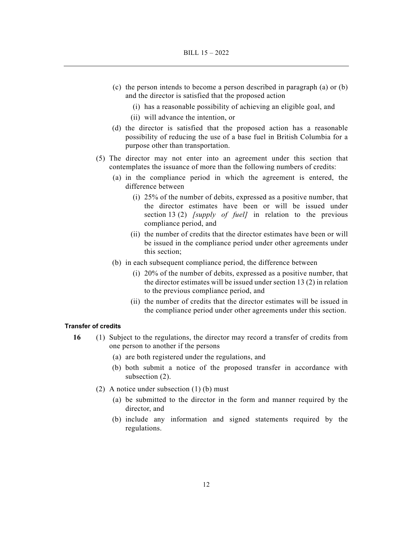- (c) the person intends to become a person described in paragraph (a) or (b) and the director is satisfied that the proposed action
	- (i) has a reasonable possibility of achieving an eligible goal, and
	- (ii) will advance the intention, or
- (d) the director is satisfied that the proposed action has a reasonable possibility of reducing the use of a base fuel in British Columbia for a purpose other than transportation.
- (5) The director may not enter into an agreement under this section that contemplates the issuance of more than the following numbers of credits:
	- (a) in the compliance period in which the agreement is entered, the difference between
		- (i) 25% of the number of debits, expressed as a positive number, that the director estimates have been or will be issued under section 13 (2) *[supply of fuel]* in relation to the previous compliance period, and
		- (ii) the number of credits that the director estimates have been or will be issued in the compliance period under other agreements under this section;
	- (b) in each subsequent compliance period, the difference between
		- (i) 20% of the number of debits, expressed as a positive number, that the director estimates will be issued under section 13 (2) in relation to the previous compliance period, and
		- (ii) the number of credits that the director estimates will be issued in the compliance period under other agreements under this section.

# **Transfer of credits**

- **16** (1) Subject to the regulations, the director may record a transfer of credits from one person to another if the persons
	- (a) are both registered under the regulations, and
	- (b) both submit a notice of the proposed transfer in accordance with subsection (2).
	- (2) A notice under subsection (1) (b) must
		- (a) be submitted to the director in the form and manner required by the director, and
		- (b) include any information and signed statements required by the regulations.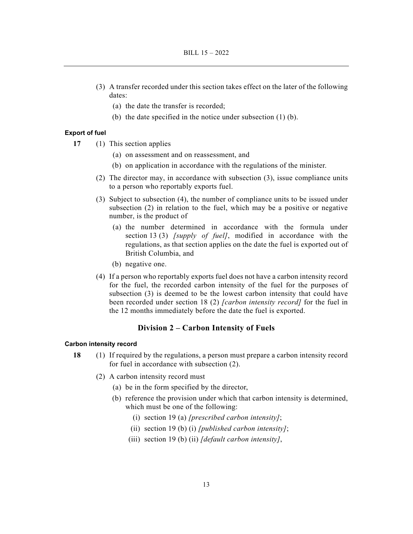- (3) A transfer recorded under this section takes effect on the later of the following dates:
	- (a) the date the transfer is recorded;
	- (b) the date specified in the notice under subsection (1) (b).

#### **Export of fuel**

- **17** (1) This section applies
	- (a) on assessment and on reassessment, and
	- (b) on application in accordance with the regulations of the minister.
	- (2) The director may, in accordance with subsection (3), issue compliance units to a person who reportably exports fuel.
	- (3) Subject to subsection (4), the number of compliance units to be issued under subsection (2) in relation to the fuel, which may be a positive or negative number, is the product of
		- (a) the number determined in accordance with the formula under section 13 (3) *[supply of fuel]*, modified in accordance with the regulations, as that section applies on the date the fuel is exported out of British Columbia, and
		- (b) negative one.
	- (4) If a person who reportably exports fuel does not have a carbon intensity record for the fuel, the recorded carbon intensity of the fuel for the purposes of subsection (3) is deemed to be the lowest carbon intensity that could have been recorded under section 18 (2) *[carbon intensity record]* for the fuel in the 12 months immediately before the date the fuel is exported.

# **Division 2 – Carbon Intensity of Fuels**

#### **Carbon intensity record**

- **18** (1) If required by the regulations, a person must prepare a carbon intensity record for fuel in accordance with subsection (2).
	- (2) A carbon intensity record must
		- (a) be in the form specified by the director,
		- (b) reference the provision under which that carbon intensity is determined, which must be one of the following:
			- (i) section 19 (a) *[prescribed carbon intensity]*;
			- (ii) section 19 (b) (i) *[published carbon intensity]*;
			- (iii) section 19 (b) (ii) *[default carbon intensity]*,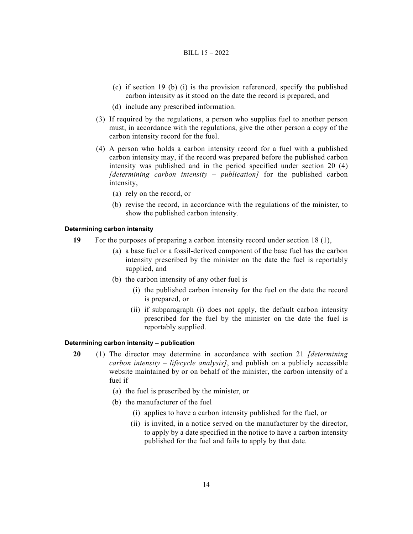- (c) if section 19 (b) (i) is the provision referenced, specify the published carbon intensity as it stood on the date the record is prepared, and
- (d) include any prescribed information.
- (3) If required by the regulations, a person who supplies fuel to another person must, in accordance with the regulations, give the other person a copy of the carbon intensity record for the fuel.
- (4) A person who holds a carbon intensity record for a fuel with a published carbon intensity may, if the record was prepared before the published carbon intensity was published and in the period specified under section 20 (4) *[determining carbon intensity – publication]* for the published carbon intensity,
	- (a) rely on the record, or
	- (b) revise the record, in accordance with the regulations of the minister, to show the published carbon intensity.

#### **Determining carbon intensity**

- **19** For the purposes of preparing a carbon intensity record under section 18 (1),
	- (a) a base fuel or a fossil-derived component of the base fuel has the carbon intensity prescribed by the minister on the date the fuel is reportably supplied, and
	- (b) the carbon intensity of any other fuel is
		- (i) the published carbon intensity for the fuel on the date the record is prepared, or
		- (ii) if subparagraph (i) does not apply, the default carbon intensity prescribed for the fuel by the minister on the date the fuel is reportably supplied.

#### **Determining carbon intensity – publication**

- **20** (1) The director may determine in accordance with section 21 *[determining carbon intensity – lifecycle analysis]*, and publish on a publicly accessible website maintained by or on behalf of the minister, the carbon intensity of a fuel if
	- (a) the fuel is prescribed by the minister, or
	- (b) the manufacturer of the fuel
		- (i) applies to have a carbon intensity published for the fuel, or
		- (ii) is invited, in a notice served on the manufacturer by the director, to apply by a date specified in the notice to have a carbon intensity published for the fuel and fails to apply by that date.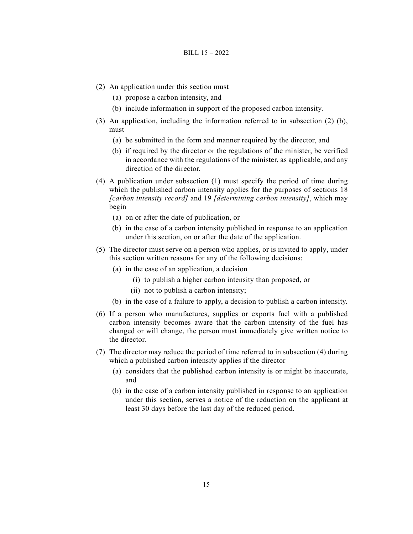- (2) An application under this section must
	- (a) propose a carbon intensity, and
	- (b) include information in support of the proposed carbon intensity.
- (3) An application, including the information referred to in subsection (2) (b), must
	- (a) be submitted in the form and manner required by the director, and
	- (b) if required by the director or the regulations of the minister, be verified in accordance with the regulations of the minister, as applicable, and any direction of the director.
- (4) A publication under subsection (1) must specify the period of time during which the published carbon intensity applies for the purposes of sections 18 *[carbon intensity record]* and 19 *[determining carbon intensity]*, which may begin
	- (a) on or after the date of publication, or
	- (b) in the case of a carbon intensity published in response to an application under this section, on or after the date of the application.
- (5) The director must serve on a person who applies, or is invited to apply, under this section written reasons for any of the following decisions:
	- (a) in the case of an application, a decision
		- (i) to publish a higher carbon intensity than proposed, or
		- (ii) not to publish a carbon intensity;
	- (b) in the case of a failure to apply, a decision to publish a carbon intensity.
- (6) If a person who manufactures, supplies or exports fuel with a published carbon intensity becomes aware that the carbon intensity of the fuel has changed or will change, the person must immediately give written notice to the director.
- (7) The director may reduce the period of time referred to in subsection (4) during which a published carbon intensity applies if the director
	- (a) considers that the published carbon intensity is or might be inaccurate, and
	- (b) in the case of a carbon intensity published in response to an application under this section, serves a notice of the reduction on the applicant at least 30 days before the last day of the reduced period.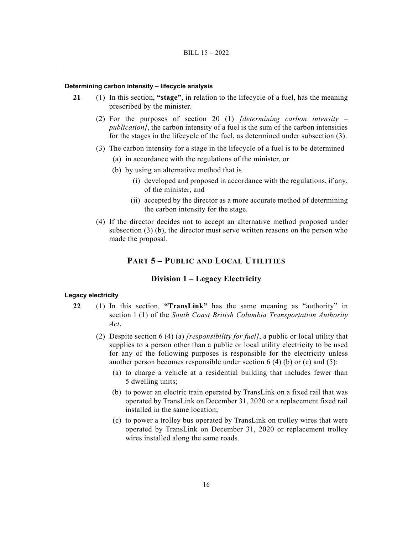#### **Determining carbon intensity – lifecycle analysis**

- **21** (1) In this section, **"stage"**, in relation to the lifecycle of a fuel, has the meaning prescribed by the minister.
	- (2) For the purposes of section 20 (1) *[determining carbon intensity publication]*, the carbon intensity of a fuel is the sum of the carbon intensities for the stages in the lifecycle of the fuel, as determined under subsection (3).
	- (3) The carbon intensity for a stage in the lifecycle of a fuel is to be determined
		- (a) in accordance with the regulations of the minister, or
		- (b) by using an alternative method that is
			- (i) developed and proposed in accordance with the regulations, if any, of the minister, and
			- (ii) accepted by the director as a more accurate method of determining the carbon intensity for the stage.
	- (4) If the director decides not to accept an alternative method proposed under subsection (3) (b), the director must serve written reasons on the person who made the proposal.

# **PART 5 – PUBLIC AND LOCAL UTILITIES**

# **Division 1 – Legacy Electricity**

#### **Legacy electricity**

- **22** (1) In this section, **"TransLink"** has the same meaning as "authority" in section 1 (1) of the *South Coast British Columbia Transportation Authority Act*.
	- (2) Despite section 6 (4) (a) *[responsibility for fuel]*, a public or local utility that supplies to a person other than a public or local utility electricity to be used for any of the following purposes is responsible for the electricity unless another person becomes responsible under section  $6(4)(b)$  or (c) and  $(5)$ :
		- (a) to charge a vehicle at a residential building that includes fewer than 5 dwelling units;
		- (b) to power an electric train operated by TransLink on a fixed rail that was operated by TransLink on December 31, 2020 or a replacement fixed rail installed in the same location;
		- (c) to power a trolley bus operated by TransLink on trolley wires that were operated by TransLink on December 31, 2020 or replacement trolley wires installed along the same roads.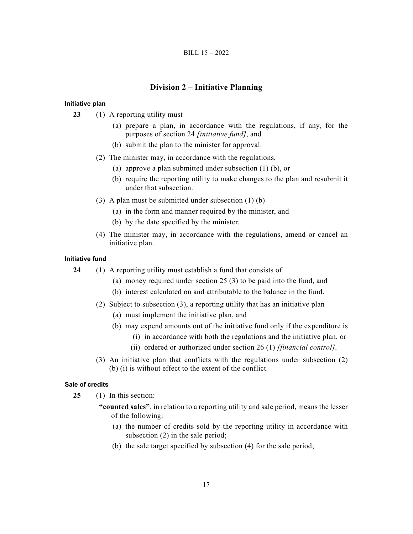#### **Division 2 – Initiative Planning**

# **Initiative plan**

- **23** (1) A reporting utility must
	- (a) prepare a plan, in accordance with the regulations, if any, for the purposes of section 24 *[initiative fund]*, and
	- (b) submit the plan to the minister for approval.
	- (2) The minister may, in accordance with the regulations,
		- (a) approve a plan submitted under subsection (1) (b), or
		- (b) require the reporting utility to make changes to the plan and resubmit it under that subsection.
	- (3) A plan must be submitted under subsection (1) (b)
		- (a) in the form and manner required by the minister, and
		- (b) by the date specified by the minister.
	- (4) The minister may, in accordance with the regulations, amend or cancel an initiative plan.

#### **Initiative fund**

- **24** (1) A reporting utility must establish a fund that consists of
	- (a) money required under section 25 (3) to be paid into the fund, and
	- (b) interest calculated on and attributable to the balance in the fund.
	- (2) Subject to subsection (3), a reporting utility that has an initiative plan
		- (a) must implement the initiative plan, and
		- (b) may expend amounts out of the initiative fund only if the expenditure is
			- (i) in accordance with both the regulations and the initiative plan, or
			- (ii) ordered or authorized under section 26 (1) *[financial control]*.
	- (3) An initiative plan that conflicts with the regulations under subsection (2) (b) (i) is without effect to the extent of the conflict.

#### **Sale of credits**

- **25** (1) In this section:
	- **"counted sales"**, in relation to a reporting utility and sale period, means the lesser of the following:
		- (a) the number of credits sold by the reporting utility in accordance with subsection (2) in the sale period;
		- (b) the sale target specified by subsection (4) for the sale period;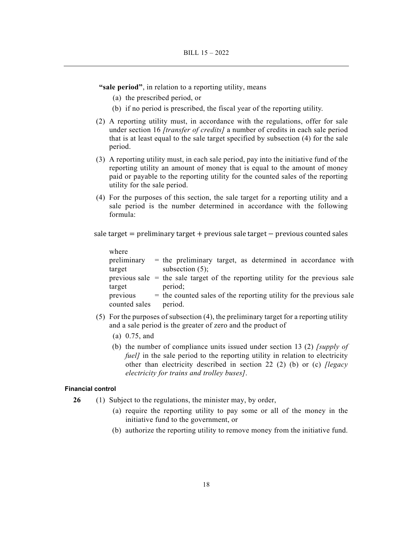**"sale period"**, in relation to a reporting utility, means

- (a) the prescribed period, or
- (b) if no period is prescribed, the fiscal year of the reporting utility.
- (2) A reporting utility must, in accordance with the regulations, offer for sale under section 16 *[transfer of credits]* a number of credits in each sale period that is at least equal to the sale target specified by subsection (4) for the sale period.
- (3) A reporting utility must, in each sale period, pay into the initiative fund of the reporting utility an amount of money that is equal to the amount of money paid or payable to the reporting utility for the counted sales of the reporting utility for the sale period.
- (4) For the purposes of this section, the sale target for a reporting utility and a sale period is the number determined in accordance with the following formula:

sale target  $=$  preliminary target  $+$  previous sale target  $-$  previous counted sales

| where         |                                                                                  |
|---------------|----------------------------------------------------------------------------------|
| preliminary   | $=$ the preliminary target, as determined in accordance with                     |
| target        | subsection $(5)$ ;                                                               |
|               | previous sale $=$ the sale target of the reporting utility for the previous sale |
| target        | period;                                                                          |
| previous      | $=$ the counted sales of the reporting utility for the previous sale             |
| counted sales | period.                                                                          |

- (5) For the purposes of subsection (4), the preliminary target for a reporting utility and a sale period is the greater of zero and the product of
	- (a) 0.75, and
	- (b) the number of compliance units issued under section 13 (2) *[supply of fuel* in the sale period to the reporting utility in relation to electricity other than electricity described in section 22 (2) (b) or (c) *[legacy electricity for trains and trolley buses]*.

# **Financial control**

- **26** (1) Subject to the regulations, the minister may, by order,
	- (a) require the reporting utility to pay some or all of the money in the initiative fund to the government, or
	- (b) authorize the reporting utility to remove money from the initiative fund.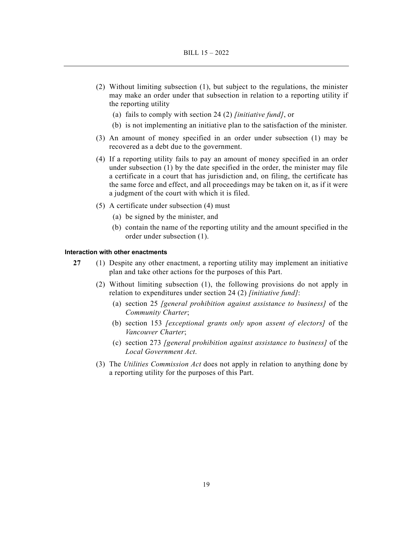- (2) Without limiting subsection (1), but subject to the regulations, the minister may make an order under that subsection in relation to a reporting utility if the reporting utility
	- (a) fails to comply with section 24 (2) *[initiative fund]*, or
	- (b) is not implementing an initiative plan to the satisfaction of the minister.
- (3) An amount of money specified in an order under subsection (1) may be recovered as a debt due to the government.
- (4) If a reporting utility fails to pay an amount of money specified in an order under subsection (1) by the date specified in the order, the minister may file a certificate in a court that has jurisdiction and, on filing, the certificate has the same force and effect, and all proceedings may be taken on it, as if it were a judgment of the court with which it is filed.
- (5) A certificate under subsection (4) must
	- (a) be signed by the minister, and
	- (b) contain the name of the reporting utility and the amount specified in the order under subsection (1).

#### **Interaction with other enactments**

- **27** (1) Despite any other enactment, a reporting utility may implement an initiative plan and take other actions for the purposes of this Part.
	- (2) Without limiting subsection (1), the following provisions do not apply in relation to expenditures under section 24 (2) *[initiative fund]*:
		- (a) section 25 *[general prohibition against assistance to business]* of the *Community Charter*;
		- (b) section 153 *[exceptional grants only upon assent of electors]* of the *Vancouver Charter*;
		- (c) section 273 *[general prohibition against assistance to business]* of the *Local Government Act*.
	- (3) The *Utilities Commission Act* does not apply in relation to anything done by a reporting utility for the purposes of this Part.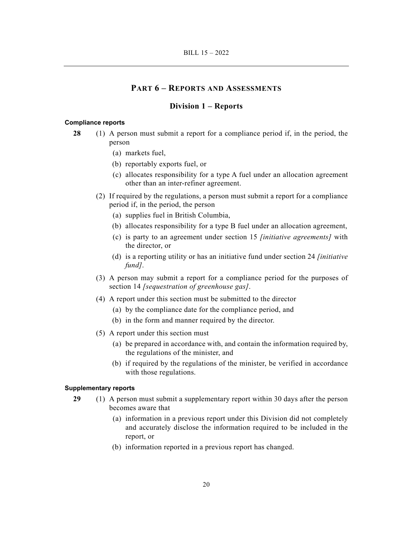# **PART 6 – REPORTS AND ASSESSMENTS**

# **Division 1 – Reports**

#### **Compliance reports**

- **28** (1) A person must submit a report for a compliance period if, in the period, the person
	- (a) markets fuel,
	- (b) reportably exports fuel, or
	- (c) allocates responsibility for a type A fuel under an allocation agreement other than an inter-refiner agreement.
	- (2) If required by the regulations, a person must submit a report for a compliance period if, in the period, the person
		- (a) supplies fuel in British Columbia,
		- (b) allocates responsibility for a type B fuel under an allocation agreement,
		- (c) is party to an agreement under section 15 *[initiative agreements]* with the director, or
		- (d) is a reporting utility or has an initiative fund under section 24 *[initiative fund]*.
	- (3) A person may submit a report for a compliance period for the purposes of section 14 *[sequestration of greenhouse gas]*.
	- (4) A report under this section must be submitted to the director
		- (a) by the compliance date for the compliance period, and
		- (b) in the form and manner required by the director.
	- (5) A report under this section must
		- (a) be prepared in accordance with, and contain the information required by, the regulations of the minister, and
		- (b) if required by the regulations of the minister, be verified in accordance with those regulations.

#### **Supplementary reports**

- **29** (1) A person must submit a supplementary report within 30 days after the person becomes aware that
	- (a) information in a previous report under this Division did not completely and accurately disclose the information required to be included in the report, or
	- (b) information reported in a previous report has changed.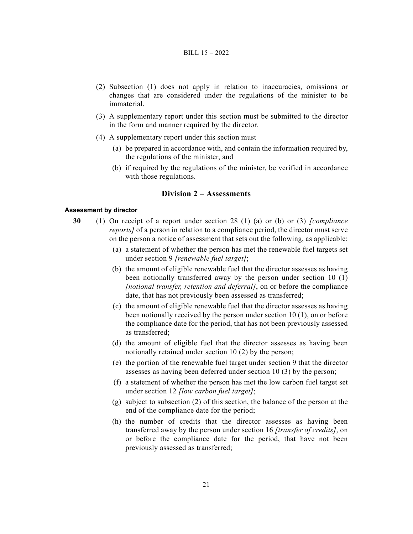- (2) Subsection (1) does not apply in relation to inaccuracies, omissions or changes that are considered under the regulations of the minister to be immaterial.
- (3) A supplementary report under this section must be submitted to the director in the form and manner required by the director.
- (4) A supplementary report under this section must
	- (a) be prepared in accordance with, and contain the information required by, the regulations of the minister, and
	- (b) if required by the regulations of the minister, be verified in accordance with those regulations.

# **Division 2 – Assessments**

#### **Assessment by director**

- **30** (1) On receipt of a report under section 28 (1) (a) or (b) or (3) *[compliance reports]* of a person in relation to a compliance period, the director must serve on the person a notice of assessment that sets out the following, as applicable:
	- (a) a statement of whether the person has met the renewable fuel targets set under section 9 *[renewable fuel target]*;
	- (b) the amount of eligible renewable fuel that the director assesses as having been notionally transferred away by the person under section 10 (1) *[notional transfer, retention and deferral]*, on or before the compliance date, that has not previously been assessed as transferred;
	- (c) the amount of eligible renewable fuel that the director assesses as having been notionally received by the person under section 10 (1), on or before the compliance date for the period, that has not been previously assessed as transferred;
	- (d) the amount of eligible fuel that the director assesses as having been notionally retained under section 10 (2) by the person;
	- (e) the portion of the renewable fuel target under section 9 that the director assesses as having been deferred under section 10 (3) by the person;
	- (f) a statement of whether the person has met the low carbon fuel target set under section 12 *[low carbon fuel target]*;
	- (g) subject to subsection (2) of this section, the balance of the person at the end of the compliance date for the period;
	- (h) the number of credits that the director assesses as having been transferred away by the person under section 16 *[transfer of credits]*, on or before the compliance date for the period, that have not been previously assessed as transferred;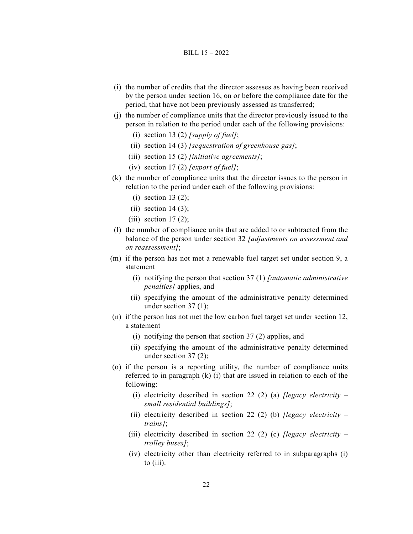- (i) the number of credits that the director assesses as having been received by the person under section 16, on or before the compliance date for the period, that have not been previously assessed as transferred;
- (j) the number of compliance units that the director previously issued to the person in relation to the period under each of the following provisions:
	- (i) section 13 (2) *[supply of fuel]*;
	- (ii) section 14 (3) *[sequestration of greenhouse gas]*;
	- (iii) section 15 (2) *[initiative agreements]*;
	- (iv) section 17 (2) *[export of fuel]*;
- (k) the number of compliance units that the director issues to the person in relation to the period under each of the following provisions:
	- $(i)$  section 13  $(2)$ ;
	- (ii) section  $14(3)$ ;
	- (iii) section  $17(2)$ ;
- (l) the number of compliance units that are added to or subtracted from the balance of the person under section 32 *[adjustments on assessment and on reassessment]*;
- (m) if the person has not met a renewable fuel target set under section 9, a statement
	- (i) notifying the person that section 37 (1) *[automatic administrative penalties]* applies, and
	- (ii) specifying the amount of the administrative penalty determined under section 37 (1);
- (n) if the person has not met the low carbon fuel target set under section 12, a statement
	- (i) notifying the person that section 37 (2) applies, and
	- (ii) specifying the amount of the administrative penalty determined under section 37 (2);
- (o) if the person is a reporting utility, the number of compliance units referred to in paragraph (k) (i) that are issued in relation to each of the following:
	- (i) electricity described in section 22 (2) (a) *[legacy electricity small residential buildings]*;
	- (ii) electricity described in section 22 (2) (b) *[legacy electricity trains]*;
	- (iii) electricity described in section 22 (2) (c) *[legacy electricity trolley buses]*;
	- (iv) electricity other than electricity referred to in subparagraphs (i) to (iii).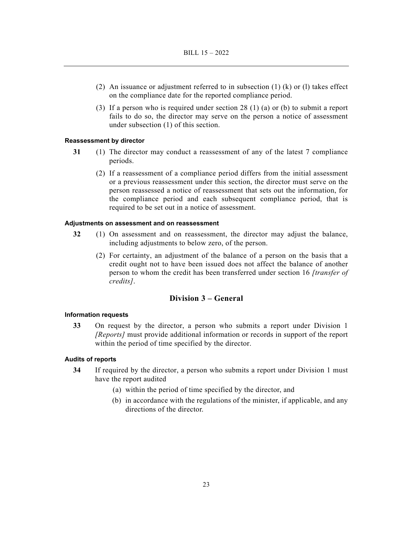- (2) An issuance or adjustment referred to in subsection (1) (k) or (l) takes effect on the compliance date for the reported compliance period.
- (3) If a person who is required under section 28 (1) (a) or (b) to submit a report fails to do so, the director may serve on the person a notice of assessment under subsection (1) of this section.

# **Reassessment by director**

- **31** (1) The director may conduct a reassessment of any of the latest 7 compliance periods.
	- (2) If a reassessment of a compliance period differs from the initial assessment or a previous reassessment under this section, the director must serve on the person reassessed a notice of reassessment that sets out the information, for the compliance period and each subsequent compliance period, that is required to be set out in a notice of assessment.

#### **Adjustments on assessment and on reassessment**

- **32** (1) On assessment and on reassessment, the director may adjust the balance, including adjustments to below zero, of the person.
	- (2) For certainty, an adjustment of the balance of a person on the basis that a credit ought not to have been issued does not affect the balance of another person to whom the credit has been transferred under section 16 *[transfer of credits]*.

# **Division 3 – General**

#### **Information requests**

**33** On request by the director, a person who submits a report under Division 1 *[Reports]* must provide additional information or records in support of the report within the period of time specified by the director.

# **Audits of reports**

- **34** If required by the director, a person who submits a report under Division 1 must have the report audited
	- (a) within the period of time specified by the director, and
	- (b) in accordance with the regulations of the minister, if applicable, and any directions of the director.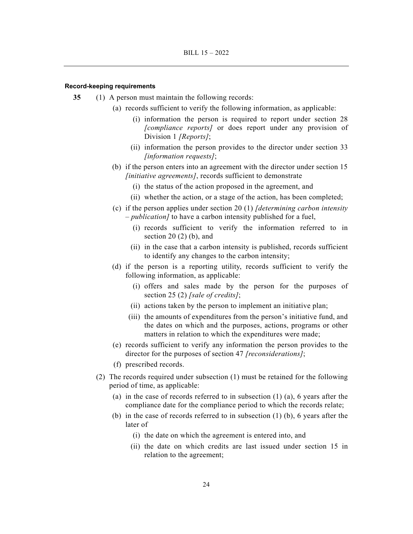#### **Record-keeping requirements**

- **35** (1) A person must maintain the following records:
	- (a) records sufficient to verify the following information, as applicable:
		- (i) information the person is required to report under section 28 *[compliance reports]* or does report under any provision of Division 1 *[Reports]*;
		- (ii) information the person provides to the director under section 33 *[information requests]*;
	- (b) if the person enters into an agreement with the director under section 15 *[initiative agreements]*, records sufficient to demonstrate
		- (i) the status of the action proposed in the agreement, and
		- (ii) whether the action, or a stage of the action, has been completed;
	- (c) if the person applies under section 20 (1) *[determining carbon intensity – publication]* to have a carbon intensity published for a fuel,
		- (i) records sufficient to verify the information referred to in section  $20(2)$  (b), and
		- (ii) in the case that a carbon intensity is published, records sufficient to identify any changes to the carbon intensity;
	- (d) if the person is a reporting utility, records sufficient to verify the following information, as applicable:
		- (i) offers and sales made by the person for the purposes of section 25 (2) *[sale of credits]*;
		- (ii) actions taken by the person to implement an initiative plan;
		- (iii) the amounts of expenditures from the person's initiative fund, and the dates on which and the purposes, actions, programs or other matters in relation to which the expenditures were made;
	- (e) records sufficient to verify any information the person provides to the director for the purposes of section 47 *[reconsiderations]*;
	- (f) prescribed records.
	- (2) The records required under subsection (1) must be retained for the following period of time, as applicable:
		- (a) in the case of records referred to in subsection  $(1)$   $(a)$ , 6 years after the compliance date for the compliance period to which the records relate;
		- (b) in the case of records referred to in subsection (1) (b), 6 years after the later of
			- (i) the date on which the agreement is entered into, and
			- (ii) the date on which credits are last issued under section 15 in relation to the agreement;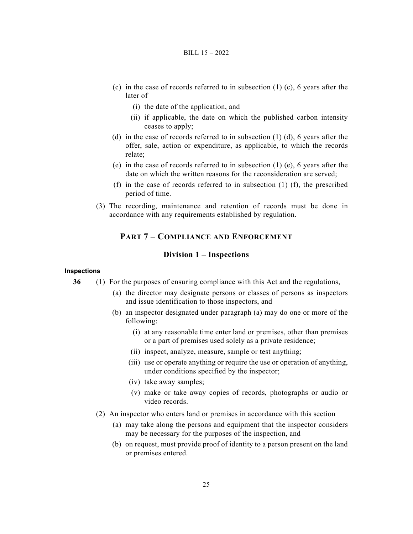- (c) in the case of records referred to in subsection  $(1)$  (c), 6 years after the later of
	- (i) the date of the application, and
	- (ii) if applicable, the date on which the published carbon intensity ceases to apply;
- (d) in the case of records referred to in subsection (1) (d), 6 years after the offer, sale, action or expenditure, as applicable, to which the records relate;
- (e) in the case of records referred to in subsection (1) (e), 6 years after the date on which the written reasons for the reconsideration are served;
- (f) in the case of records referred to in subsection (1) (f), the prescribed period of time.
- (3) The recording, maintenance and retention of records must be done in accordance with any requirements established by regulation.

# **PART 7 – COMPLIANCE AND ENFORCEMENT**

#### **Division 1 – Inspections**

# **Inspections**

- **36** (1) For the purposes of ensuring compliance with this Act and the regulations,
	- (a) the director may designate persons or classes of persons as inspectors and issue identification to those inspectors, and
	- (b) an inspector designated under paragraph (a) may do one or more of the following:
		- (i) at any reasonable time enter land or premises, other than premises or a part of premises used solely as a private residence;
		- (ii) inspect, analyze, measure, sample or test anything;
		- (iii) use or operate anything or require the use or operation of anything, under conditions specified by the inspector;
		- (iv) take away samples;
		- (v) make or take away copies of records, photographs or audio or video records.
	- (2) An inspector who enters land or premises in accordance with this section
		- (a) may take along the persons and equipment that the inspector considers may be necessary for the purposes of the inspection, and
		- (b) on request, must provide proof of identity to a person present on the land or premises entered.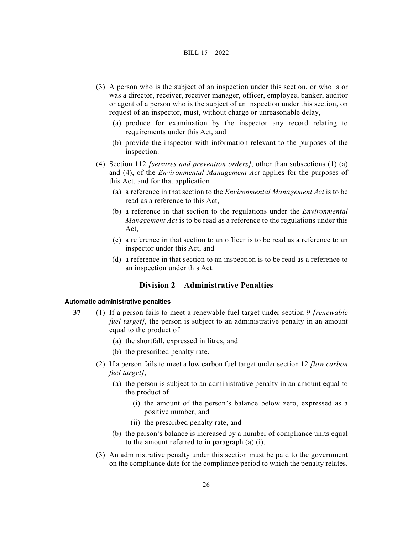- (3) A person who is the subject of an inspection under this section, or who is or was a director, receiver, receiver manager, officer, employee, banker, auditor or agent of a person who is the subject of an inspection under this section, on request of an inspector, must, without charge or unreasonable delay,
	- (a) produce for examination by the inspector any record relating to requirements under this Act, and
	- (b) provide the inspector with information relevant to the purposes of the inspection.
- (4) Section 112 *[seizures and prevention orders]*, other than subsections (1) (a) and (4), of the *Environmental Management Act* applies for the purposes of this Act, and for that application
	- (a) a reference in that section to the *Environmental Management Act* is to be read as a reference to this Act,
	- (b) a reference in that section to the regulations under the *Environmental Management Act* is to be read as a reference to the regulations under this Act,
	- (c) a reference in that section to an officer is to be read as a reference to an inspector under this Act, and
	- (d) a reference in that section to an inspection is to be read as a reference to an inspection under this Act.

# **Division 2 – Administrative Penalties**

#### **Automatic administrative penalties**

- **37** (1) If a person fails to meet a renewable fuel target under section 9 *[renewable fuel target]*, the person is subject to an administrative penalty in an amount equal to the product of
	- (a) the shortfall, expressed in litres, and
	- (b) the prescribed penalty rate.
	- (2) If a person fails to meet a low carbon fuel target under section 12 *[low carbon fuel target]*,
		- (a) the person is subject to an administrative penalty in an amount equal to the product of
			- (i) the amount of the person's balance below zero, expressed as a positive number, and
			- (ii) the prescribed penalty rate, and
		- (b) the person's balance is increased by a number of compliance units equal to the amount referred to in paragraph (a) (i).
	- (3) An administrative penalty under this section must be paid to the government on the compliance date for the compliance period to which the penalty relates.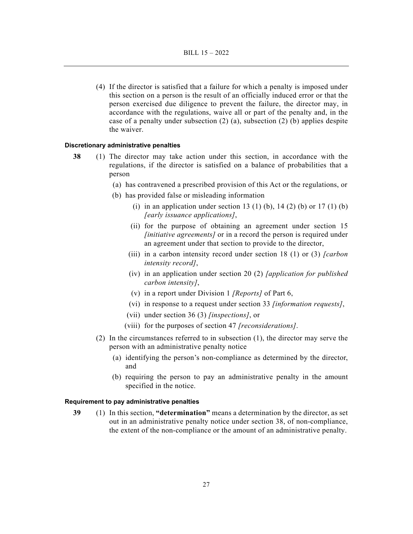(4) If the director is satisfied that a failure for which a penalty is imposed under this section on a person is the result of an officially induced error or that the person exercised due diligence to prevent the failure, the director may, in accordance with the regulations, waive all or part of the penalty and, in the case of a penalty under subsection (2) (a), subsection (2) (b) applies despite the waiver.

#### **Discretionary administrative penalties**

- **38** (1) The director may take action under this section, in accordance with the regulations, if the director is satisfied on a balance of probabilities that a person
	- (a) has contravened a prescribed provision of this Act or the regulations, or
	- (b) has provided false or misleading information
		- (i) in an application under section 13 (1) (b), 14 (2) (b) or 17 (1) (b) *[early issuance applications]*,
		- (ii) for the purpose of obtaining an agreement under section 15 *[initiative agreements]* or in a record the person is required under an agreement under that section to provide to the director,
		- (iii) in a carbon intensity record under section 18 (1) or (3) *[carbon intensity record]*,
		- (iv) in an application under section 20 (2) *[application for published carbon intensity]*,
		- (v) in a report under Division 1 *[Reports]* of Part 6,
		- (vi) in response to a request under section 33 *[information requests]*,
		- (vii) under section 36 (3) *[inspections]*, or
		- (viii) for the purposes of section 47 *[reconsiderations]*.
	- (2) In the circumstances referred to in subsection (1), the director may serve the person with an administrative penalty notice
		- (a) identifying the person's non-compliance as determined by the director, and
		- (b) requiring the person to pay an administrative penalty in the amount specified in the notice.

#### **Requirement to pay administrative penalties**

**39** (1) In this section, **"determination"** means a determination by the director, as set out in an administrative penalty notice under section 38, of non-compliance, the extent of the non-compliance or the amount of an administrative penalty.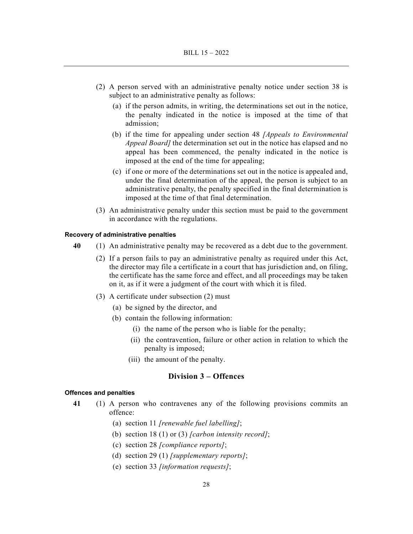- (2) A person served with an administrative penalty notice under section 38 is subject to an administrative penalty as follows:
	- (a) if the person admits, in writing, the determinations set out in the notice, the penalty indicated in the notice is imposed at the time of that admission;
	- (b) if the time for appealing under section 48 *[Appeals to Environmental Appeal Board]* the determination set out in the notice has elapsed and no appeal has been commenced, the penalty indicated in the notice is imposed at the end of the time for appealing;
	- (c) if one or more of the determinations set out in the notice is appealed and, under the final determination of the appeal, the person is subject to an administrative penalty, the penalty specified in the final determination is imposed at the time of that final determination.
- (3) An administrative penalty under this section must be paid to the government in accordance with the regulations.

#### **Recovery of administrative penalties**

- **40** (1) An administrative penalty may be recovered as a debt due to the government.
	- (2) If a person fails to pay an administrative penalty as required under this Act, the director may file a certificate in a court that has jurisdiction and, on filing, the certificate has the same force and effect, and all proceedings may be taken on it, as if it were a judgment of the court with which it is filed.
	- (3) A certificate under subsection (2) must
		- (a) be signed by the director, and
		- (b) contain the following information:
			- (i) the name of the person who is liable for the penalty;
			- (ii) the contravention, failure or other action in relation to which the penalty is imposed;
			- (iii) the amount of the penalty.

# **Division 3 – Offences**

#### **Offences and penalties**

- **41** (1) A person who contravenes any of the following provisions commits an offence:
	- (a) section 11 *[renewable fuel labelling]*;
	- (b) section 18 (1) or (3) *[carbon intensity record]*;
	- (c) section 28 *[compliance reports]*;
	- (d) section 29 (1) *[supplementary reports]*;
	- (e) section 33 *[information requests]*;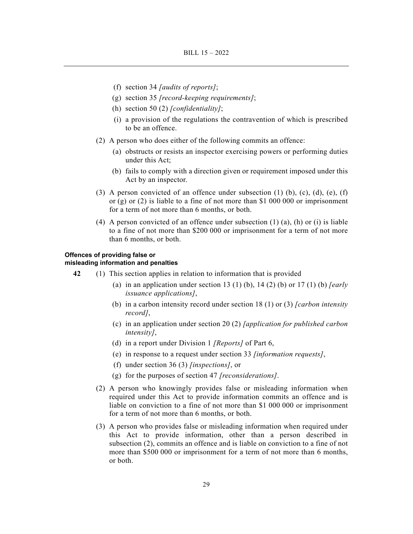- (f) section 34 *[audits of reports]*;
- (g) section 35 *[record-keeping requirements]*;
- (h) section 50 (2) *[confidentiality]*;
- (i) a provision of the regulations the contravention of which is prescribed to be an offence.
- (2) A person who does either of the following commits an offence:
	- (a) obstructs or resists an inspector exercising powers or performing duties under this Act;
	- (b) fails to comply with a direction given or requirement imposed under this Act by an inspector.
- (3) A person convicted of an offence under subsection  $(1)$   $(b)$ ,  $(c)$ ,  $(d)$ ,  $(e)$ ,  $(f)$ or  $(g)$  or  $(2)$  is liable to a fine of not more than \$1 000 000 or imprisonment for a term of not more than 6 months, or both.
- (4) A person convicted of an offence under subsection  $(1)$  (a), (h) or (i) is liable to a fine of not more than \$200 000 or imprisonment for a term of not more than 6 months, or both.

# **Offences of providing false or**

# **misleading information and penalties**

- **42** (1) This section applies in relation to information that is provided
	- (a) in an application under section 13 (1) (b), 14 (2) (b) or 17 (1) (b) *[early issuance applications]*,
	- (b) in a carbon intensity record under section 18 (1) or (3) *[carbon intensity record]*,
	- (c) in an application under section 20 (2) *[application for published carbon intensity]*,
	- (d) in a report under Division 1 *[Reports]* of Part 6,
	- (e) in response to a request under section 33 *[information requests]*,
	- (f) under section 36 (3) *[inspections]*, or
	- (g) for the purposes of section 47 *[reconsiderations]*.
	- (2) A person who knowingly provides false or misleading information when required under this Act to provide information commits an offence and is liable on conviction to a fine of not more than \$1 000 000 or imprisonment for a term of not more than 6 months, or both.
	- (3) A person who provides false or misleading information when required under this Act to provide information, other than a person described in subsection (2), commits an offence and is liable on conviction to a fine of not more than \$500 000 or imprisonment for a term of not more than 6 months, or both.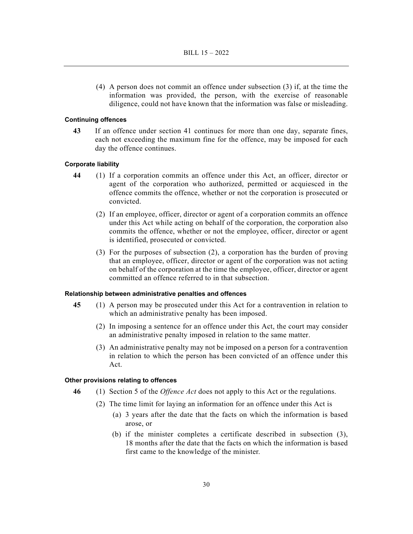(4) A person does not commit an offence under subsection (3) if, at the time the information was provided, the person, with the exercise of reasonable diligence, could not have known that the information was false or misleading.

#### **Continuing offences**

**43** If an offence under section 41 continues for more than one day, separate fines, each not exceeding the maximum fine for the offence, may be imposed for each day the offence continues.

# **Corporate liability**

- **44** (1) If a corporation commits an offence under this Act, an officer, director or agent of the corporation who authorized, permitted or acquiesced in the offence commits the offence, whether or not the corporation is prosecuted or convicted.
	- (2) If an employee, officer, director or agent of a corporation commits an offence under this Act while acting on behalf of the corporation, the corporation also commits the offence, whether or not the employee, officer, director or agent is identified, prosecuted or convicted.
	- (3) For the purposes of subsection (2), a corporation has the burden of proving that an employee, officer, director or agent of the corporation was not acting on behalf of the corporation at the time the employee, officer, director or agent committed an offence referred to in that subsection.

#### **Relationship between administrative penalties and offences**

- **45** (1) A person may be prosecuted under this Act for a contravention in relation to which an administrative penalty has been imposed.
	- (2) In imposing a sentence for an offence under this Act, the court may consider an administrative penalty imposed in relation to the same matter.
	- (3) An administrative penalty may not be imposed on a person for a contravention in relation to which the person has been convicted of an offence under this Act.

# **Other provisions relating to offences**

- **46** (1) Section 5 of the *Offence Act* does not apply to this Act or the regulations.
	- (2) The time limit for laying an information for an offence under this Act is
		- (a) 3 years after the date that the facts on which the information is based arose, or
		- (b) if the minister completes a certificate described in subsection (3), 18 months after the date that the facts on which the information is based first came to the knowledge of the minister.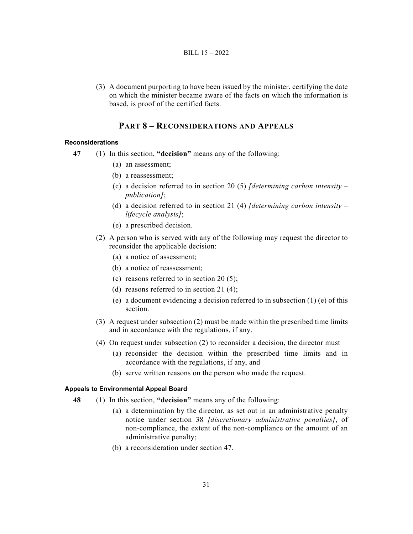(3) A document purporting to have been issued by the minister, certifying the date on which the minister became aware of the facts on which the information is based, is proof of the certified facts.

# **PART 8 – RECONSIDERATIONS AND APPEALS**

#### **Reconsiderations**

- **47** (1) In this section, **"decision"** means any of the following:
	- (a) an assessment;
	- (b) a reassessment;
	- (c) a decision referred to in section 20 (5) *[determining carbon intensity publication]*;
	- (d) a decision referred to in section 21 (4) *[determining carbon intensity lifecycle analysis]*;
	- (e) a prescribed decision.
	- (2) A person who is served with any of the following may request the director to reconsider the applicable decision:
		- (a) a notice of assessment;
		- (b) a notice of reassessment;
		- (c) reasons referred to in section 20 (5);
		- (d) reasons referred to in section 21 (4);
		- (e) a document evidencing a decision referred to in subsection (1) (e) of this section.
	- (3) A request under subsection (2) must be made within the prescribed time limits and in accordance with the regulations, if any.
	- (4) On request under subsection (2) to reconsider a decision, the director must
		- (a) reconsider the decision within the prescribed time limits and in accordance with the regulations, if any, and
		- (b) serve written reasons on the person who made the request.

# **Appeals to Environmental Appeal Board**

- **48** (1) In this section, **"decision"** means any of the following:
	- (a) a determination by the director, as set out in an administrative penalty notice under section 38 *[discretionary administrative penalties]*, of non-compliance, the extent of the non-compliance or the amount of an administrative penalty;
	- (b) a reconsideration under section 47.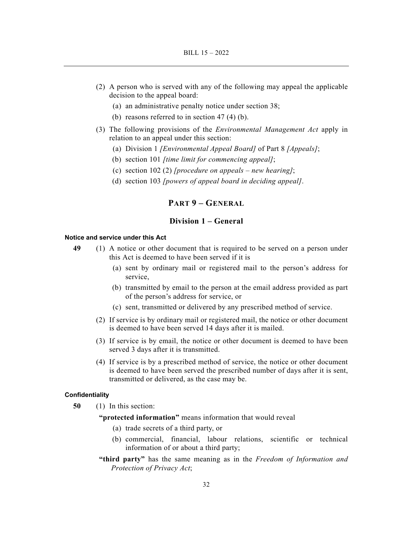- (2) A person who is served with any of the following may appeal the applicable decision to the appeal board:
	- (a) an administrative penalty notice under section 38;
	- (b) reasons referred to in section 47 (4) (b).
- (3) The following provisions of the *Environmental Management Act* apply in relation to an appeal under this section:
	- (a) Division 1 *[Environmental Appeal Board]* of Part 8 *[Appeals]*;
	- (b) section 101 *[time limit for commencing appeal]*;
	- (c) section 102 (2) *[procedure on appeals new hearing]*;
	- (d) section 103 *[powers of appeal board in deciding appeal]*.

# **PART 9 – GENERAL**

# **Division 1 – General**

#### **Notice and service under this Act**

- **49** (1) A notice or other document that is required to be served on a person under this Act is deemed to have been served if it is
	- (a) sent by ordinary mail or registered mail to the person's address for service,
	- (b) transmitted by email to the person at the email address provided as part of the person's address for service, or
	- (c) sent, transmitted or delivered by any prescribed method of service.
	- (2) If service is by ordinary mail or registered mail, the notice or other document is deemed to have been served 14 days after it is mailed.
	- (3) If service is by email, the notice or other document is deemed to have been served 3 days after it is transmitted.
	- (4) If service is by a prescribed method of service, the notice or other document is deemed to have been served the prescribed number of days after it is sent, transmitted or delivered, as the case may be.

#### **Confidentiality**

**50** (1) In this section:

**"protected information"** means information that would reveal

- (a) trade secrets of a third party, or
- (b) commercial, financial, labour relations, scientific or technical information of or about a third party;
- **"third party"** has the same meaning as in the *Freedom of Information and Protection of Privacy Act*;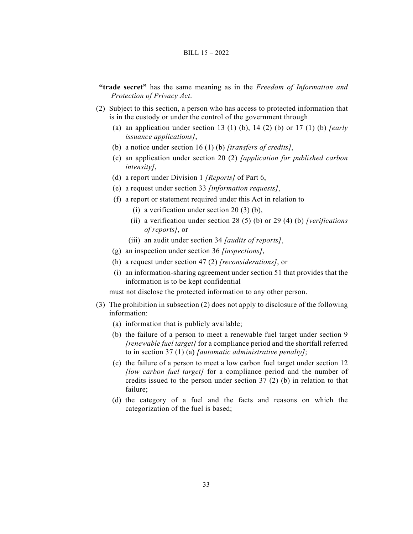- **"trade secret"** has the same meaning as in the *Freedom of Information and Protection of Privacy Act*.
- (2) Subject to this section, a person who has access to protected information that is in the custody or under the control of the government through
	- (a) an application under section 13 (1) (b), 14 (2) (b) or 17 (1) (b) *[early issuance applications]*,
	- (b) a notice under section 16 (1) (b) *[transfers of credits]*,
	- (c) an application under section 20 (2) *[application for published carbon intensity]*,
	- (d) a report under Division 1 *[Reports]* of Part 6,
	- (e) a request under section 33 *[information requests]*,
	- (f) a report or statement required under this Act in relation to
		- (i) a verification under section 20 (3) (b),
		- (ii) a verification under section 28 (5) (b) or 29 (4) (b) *[verifications of reports]*, or
		- (iii) an audit under section 34 *[audits of reports]*,
	- (g) an inspection under section 36 *[inspections]*,
	- (h) a request under section 47 (2) *[reconsiderations]*, or
	- (i) an information-sharing agreement under section 51 that provides that the information is to be kept confidential

must not disclose the protected information to any other person.

- (3) The prohibition in subsection (2) does not apply to disclosure of the following information:
	- (a) information that is publicly available;
	- (b) the failure of a person to meet a renewable fuel target under section 9 *[renewable fuel target]* for a compliance period and the shortfall referred to in section 37 (1) (a) *[automatic administrative penalty]*;
	- (c) the failure of a person to meet a low carbon fuel target under section 12 *[low carbon fuel target]* for a compliance period and the number of credits issued to the person under section 37 (2) (b) in relation to that failure;
	- (d) the category of a fuel and the facts and reasons on which the categorization of the fuel is based;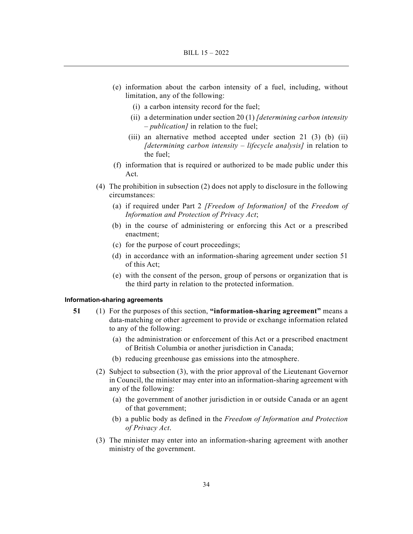- (e) information about the carbon intensity of a fuel, including, without limitation, any of the following:
	- (i) a carbon intensity record for the fuel;
	- (ii) a determination under section 20 (1) *[determining carbon intensity – publication]* in relation to the fuel;
	- (iii) an alternative method accepted under section 21 (3) (b) (ii) *[determining carbon intensity – lifecycle analysis]* in relation to the fuel;
- (f) information that is required or authorized to be made public under this Act.
- (4) The prohibition in subsection (2) does not apply to disclosure in the following circumstances:
	- (a) if required under Part 2 *[Freedom of Information]* of the *Freedom of Information and Protection of Privacy Act*;
	- (b) in the course of administering or enforcing this Act or a prescribed enactment;
	- (c) for the purpose of court proceedings;
	- (d) in accordance with an information-sharing agreement under section 51 of this Act;
	- (e) with the consent of the person, group of persons or organization that is the third party in relation to the protected information.

#### **Information-sharing agreements**

- **51** (1) For the purposes of this section, **"information-sharing agreement"** means a data-matching or other agreement to provide or exchange information related to any of the following:
	- (a) the administration or enforcement of this Act or a prescribed enactment of British Columbia or another jurisdiction in Canada;
	- (b) reducing greenhouse gas emissions into the atmosphere.
	- (2) Subject to subsection (3), with the prior approval of the Lieutenant Governor in Council, the minister may enter into an information-sharing agreement with any of the following:
		- (a) the government of another jurisdiction in or outside Canada or an agent of that government;
		- (b) a public body as defined in the *Freedom of Information and Protection of Privacy Act*.
	- (3) The minister may enter into an information-sharing agreement with another ministry of the government.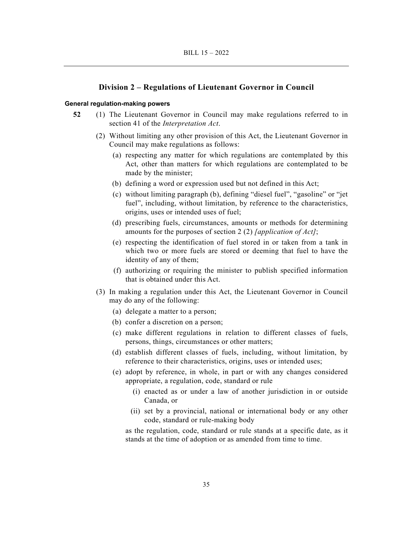# **Division 2 – Regulations of Lieutenant Governor in Council**

#### **General regulation-making powers**

- **52** (1) The Lieutenant Governor in Council may make regulations referred to in section 41 of the *Interpretation Act*.
	- (2) Without limiting any other provision of this Act, the Lieutenant Governor in Council may make regulations as follows:
		- (a) respecting any matter for which regulations are contemplated by this Act, other than matters for which regulations are contemplated to be made by the minister;
		- (b) defining a word or expression used but not defined in this Act;
		- (c) without limiting paragraph (b), defining "diesel fuel", "gasoline" or "jet fuel", including, without limitation, by reference to the characteristics, origins, uses or intended uses of fuel;
		- (d) prescribing fuels, circumstances, amounts or methods for determining amounts for the purposes of section 2 (2) *[application of Act]*;
		- (e) respecting the identification of fuel stored in or taken from a tank in which two or more fuels are stored or deeming that fuel to have the identity of any of them;
		- (f) authorizing or requiring the minister to publish specified information that is obtained under this Act.
	- (3) In making a regulation under this Act, the Lieutenant Governor in Council may do any of the following:
		- (a) delegate a matter to a person;
		- (b) confer a discretion on a person;
		- (c) make different regulations in relation to different classes of fuels, persons, things, circumstances or other matters;
		- (d) establish different classes of fuels, including, without limitation, by reference to their characteristics, origins, uses or intended uses;
		- (e) adopt by reference, in whole, in part or with any changes considered appropriate, a regulation, code, standard or rule
			- (i) enacted as or under a law of another jurisdiction in or outside Canada, or
			- (ii) set by a provincial, national or international body or any other code, standard or rule-making body

as the regulation, code, standard or rule stands at a specific date, as it stands at the time of adoption or as amended from time to time.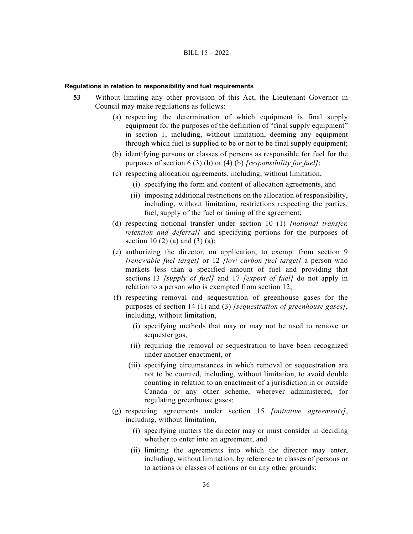#### **Regulations in relation to responsibility and fuel requirements**

- **53** Without limiting any other provision of this Act, the Lieutenant Governor in Council may make regulations as follows:
	- (a) respecting the determination of which equipment is final supply equipment for the purposes of the definition of "final supply equipment" in section 1, including, without limitation, deeming any equipment through which fuel is supplied to be or not to be final supply equipment;
	- (b) identifying persons or classes of persons as responsible for fuel for the purposes of section 6 (3) (b) or (4) (b) *[responsibility for fuel]*;
	- (c) respecting allocation agreements, including, without limitation,
		- (i) specifying the form and content of allocation agreements, and
		- (ii) imposing additional restrictions on the allocation of responsibility, including, without limitation, restrictions respecting the parties, fuel, supply of the fuel or timing of the agreement;
	- (d) respecting notional transfer under section 10 (1) *[notional transfer, retention and deferral]* and specifying portions for the purposes of section 10 (2) (a) and (3) (a);
	- (e) authorizing the director, on application, to exempt from section 9 *[renewable fuel target]* or 12 *[low carbon fuel target]* a person who markets less than a specified amount of fuel and providing that sections 13 *[supply of fuel]* and 17 *[export of fuel]* do not apply in relation to a person who is exempted from section 12;
	- (f) respecting removal and sequestration of greenhouse gases for the purposes of section 14 (1) and (3) *[sequestration of greenhouse gases]*, including, without limitation,
		- (i) specifying methods that may or may not be used to remove or sequester gas,
		- (ii) requiring the removal or sequestration to have been recognized under another enactment, or
		- (iii) specifying circumstances in which removal or sequestration are not to be counted, including, without limitation, to avoid double counting in relation to an enactment of a jurisdiction in or outside Canada or any other scheme, wherever administered, for regulating greenhouse gases;
	- (g) respecting agreements under section 15 *[initiative agreements]*, including, without limitation,
		- (i) specifying matters the director may or must consider in deciding whether to enter into an agreement, and
		- (ii) limiting the agreements into which the director may enter, including, without limitation, by reference to classes of persons or to actions or classes of actions or on any other grounds;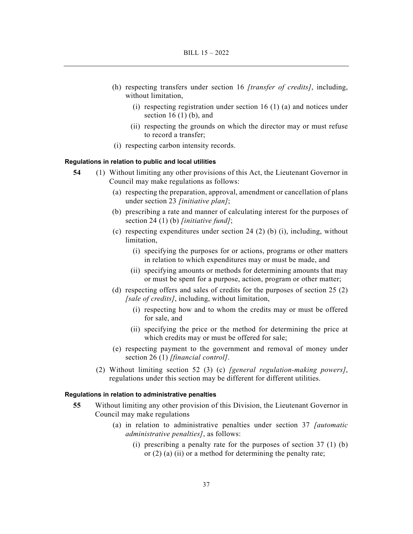- (h) respecting transfers under section 16 *[transfer of credits]*, including, without limitation,
	- (i) respecting registration under section 16 (1) (a) and notices under section  $16(1)$  (b), and
	- (ii) respecting the grounds on which the director may or must refuse to record a transfer;
- (i) respecting carbon intensity records.

#### **Regulations in relation to public and local utilities**

- **54** (1) Without limiting any other provisions of this Act, the Lieutenant Governor in Council may make regulations as follows:
	- (a) respecting the preparation, approval, amendment or cancellation of plans under section 23 *[initiative plan]*;
	- (b) prescribing a rate and manner of calculating interest for the purposes of section 24 (1) (b) *[initiative fund]*;
	- (c) respecting expenditures under section 24 (2) (b) (i), including, without limitation,
		- (i) specifying the purposes for or actions, programs or other matters in relation to which expenditures may or must be made, and
		- (ii) specifying amounts or methods for determining amounts that may or must be spent for a purpose, action, program or other matter;
	- (d) respecting offers and sales of credits for the purposes of section 25 (2) *[sale of credits]*, including, without limitation,
		- (i) respecting how and to whom the credits may or must be offered for sale, and
		- (ii) specifying the price or the method for determining the price at which credits may or must be offered for sale;
	- (e) respecting payment to the government and removal of money under section 26 (1) *[financial control]*.
	- (2) Without limiting section 52 (3) (c) *[general regulation-making powers]*, regulations under this section may be different for different utilities.

#### **Regulations in relation to administrative penalties**

- **55** Without limiting any other provision of this Division, the Lieutenant Governor in Council may make regulations
	- (a) in relation to administrative penalties under section 37 *[automatic administrative penalties]*, as follows:
		- (i) prescribing a penalty rate for the purposes of section 37 (1) (b) or (2) (a) (ii) or a method for determining the penalty rate;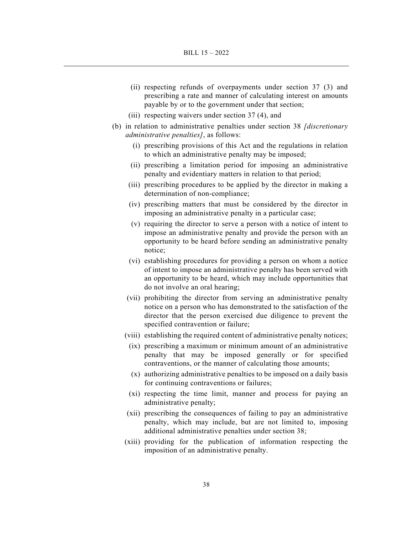- (ii) respecting refunds of overpayments under section 37 (3) and prescribing a rate and manner of calculating interest on amounts payable by or to the government under that section;
- (iii) respecting waivers under section 37 (4), and
- (b) in relation to administrative penalties under section 38 *[discretionary administrative penalties]*, as follows:
	- (i) prescribing provisions of this Act and the regulations in relation to which an administrative penalty may be imposed;
	- (ii) prescribing a limitation period for imposing an administrative penalty and evidentiary matters in relation to that period;
	- (iii) prescribing procedures to be applied by the director in making a determination of non-compliance;
	- (iv) prescribing matters that must be considered by the director in imposing an administrative penalty in a particular case;
	- (v) requiring the director to serve a person with a notice of intent to impose an administrative penalty and provide the person with an opportunity to be heard before sending an administrative penalty notice;
	- (vi) establishing procedures for providing a person on whom a notice of intent to impose an administrative penalty has been served with an opportunity to be heard, which may include opportunities that do not involve an oral hearing;
	- (vii) prohibiting the director from serving an administrative penalty notice on a person who has demonstrated to the satisfaction of the director that the person exercised due diligence to prevent the specified contravention or failure;
	- (viii) establishing the required content of administrative penalty notices;
	- (ix) prescribing a maximum or minimum amount of an administrative penalty that may be imposed generally or for specified contraventions, or the manner of calculating those amounts;
	- (x) authorizing administrative penalties to be imposed on a daily basis for continuing contraventions or failures;
	- (xi) respecting the time limit, manner and process for paying an administrative penalty;
	- (xii) prescribing the consequences of failing to pay an administrative penalty, which may include, but are not limited to, imposing additional administrative penalties under section 38;
	- (xiii) providing for the publication of information respecting the imposition of an administrative penalty.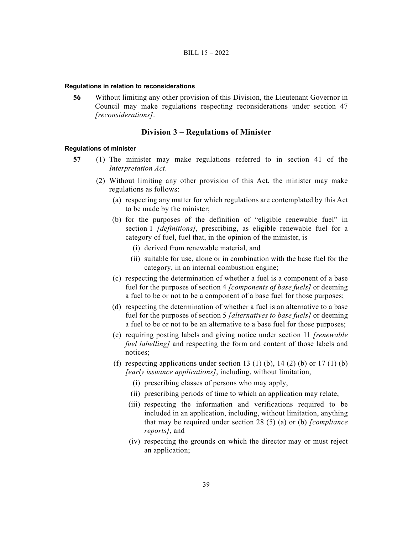#### **Regulations in relation to reconsiderations**

 **56** Without limiting any other provision of this Division, the Lieutenant Governor in Council may make regulations respecting reconsiderations under section 47 *[reconsiderations]*.

# **Division 3 – Regulations of Minister**

#### **Regulations of minister**

- **57** (1) The minister may make regulations referred to in section 41 of the *Interpretation Act*.
	- (2) Without limiting any other provision of this Act, the minister may make regulations as follows:
		- (a) respecting any matter for which regulations are contemplated by this Act to be made by the minister;
		- (b) for the purposes of the definition of "eligible renewable fuel" in section 1 *[definitions]*, prescribing, as eligible renewable fuel for a category of fuel, fuel that, in the opinion of the minister, is
			- (i) derived from renewable material, and
			- (ii) suitable for use, alone or in combination with the base fuel for the category, in an internal combustion engine;
		- (c) respecting the determination of whether a fuel is a component of a base fuel for the purposes of section 4 *[components of base fuels]* or deeming a fuel to be or not to be a component of a base fuel for those purposes;
		- (d) respecting the determination of whether a fuel is an alternative to a base fuel for the purposes of section 5 *[alternatives to base fuels]* or deeming a fuel to be or not to be an alternative to a base fuel for those purposes;
		- (e) requiring posting labels and giving notice under section 11 *[renewable fuel labelling]* and respecting the form and content of those labels and notices;
		- (f) respecting applications under section 13 (1) (b), 14 (2) (b) or 17 (1) (b) *[early issuance applications]*, including, without limitation,
			- (i) prescribing classes of persons who may apply,
			- (ii) prescribing periods of time to which an application may relate,
			- (iii) respecting the information and verifications required to be included in an application, including, without limitation, anything that may be required under section 28 (5) (a) or (b) *[compliance reports]*, and
			- (iv) respecting the grounds on which the director may or must reject an application;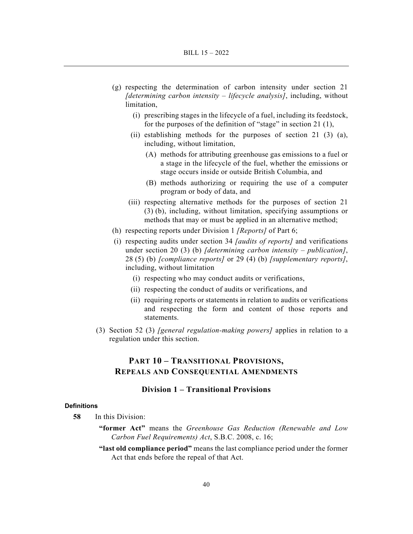- (g) respecting the determination of carbon intensity under section 21 *[determining carbon intensity – lifecycle analysis]*, including, without limitation,
	- (i) prescribing stages in the lifecycle of a fuel, including its feedstock, for the purposes of the definition of "stage" in section 21 (1),
	- (ii) establishing methods for the purposes of section 21 (3) (a), including, without limitation,
		- (A) methods for attributing greenhouse gas emissions to a fuel or a stage in the lifecycle of the fuel, whether the emissions or stage occurs inside or outside British Columbia, and
		- (B) methods authorizing or requiring the use of a computer program or body of data, and
	- (iii) respecting alternative methods for the purposes of section 21 (3) (b), including, without limitation, specifying assumptions or methods that may or must be applied in an alternative method;
- (h) respecting reports under Division 1 *[Reports]* of Part 6;
- (i) respecting audits under section 34 *[audits of reports]* and verifications under section 20 (3) (b) *[determining carbon intensity – publication]*, 28 (5) (b) *[compliance reports]* or 29 (4) (b) *[supplementary reports]*, including, without limitation
	- (i) respecting who may conduct audits or verifications,
	- (ii) respecting the conduct of audits or verifications, and
	- (ii) requiring reports or statements in relation to audits or verifications and respecting the form and content of those reports and statements.
- (3) Section 52 (3) *[general regulation-making powers]* applies in relation to a regulation under this section.

# **PART 10 – TRANSITIONAL PROVISIONS, REPEALS AND CONSEQUENTIAL AMENDMENTS**

# **Division 1 – Transitional Provisions**

#### **Definitions**

- **58** In this Division:
	- **"former Act"** means the *Greenhouse Gas Reduction (Renewable and Low Carbon Fuel Requirements) Act*, S.B.C. 2008, c. 16;
	- **"last old compliance period"** means the last compliance period under the former Act that ends before the repeal of that Act.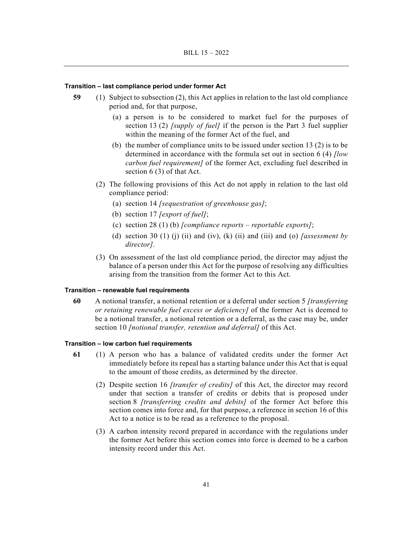#### **Transition – last compliance period under former Act**

- **59** (1) Subject to subsection (2), this Act applies in relation to the last old compliance period and, for that purpose,
	- (a) a person is to be considered to market fuel for the purposes of section 13 (2) *[supply of fuel]* if the person is the Part 3 fuel supplier within the meaning of the former Act of the fuel, and
	- (b) the number of compliance units to be issued under section 13 (2) is to be determined in accordance with the formula set out in section 6 (4) *[low carbon fuel requirement]* of the former Act, excluding fuel described in section 6 (3) of that Act.
	- (2) The following provisions of this Act do not apply in relation to the last old compliance period:
		- (a) section 14 *[sequestration of greenhouse gas]*;
		- (b) section 17 *[export of fuel]*;
		- (c) section 28 (1) (b) *[compliance reports reportable exports]*;
		- (d) section 30 (1) (j) (ii) and (iv), (k) (ii) and (iii) and (o) *[assessment by director]*.
	- (3) On assessment of the last old compliance period, the director may adjust the balance of a person under this Act for the purpose of resolving any difficulties arising from the transition from the former Act to this Act.

#### **Transition – renewable fuel requirements**

**60** A notional transfer, a notional retention or a deferral under section 5 *[transferring or retaining renewable fuel excess or deficiency]* of the former Act is deemed to be a notional transfer, a notional retention or a deferral, as the case may be, under section 10 *[notional transfer, retention and deferral]* of this Act.

#### **Transition – low carbon fuel requirements**

- **61** (1) A person who has a balance of validated credits under the former Act immediately before its repeal has a starting balance under this Act that is equal to the amount of those credits, as determined by the director.
	- (2) Despite section 16 *[transfer of credits]* of this Act, the director may record under that section a transfer of credits or debits that is proposed under section 8 *[transferring credits and debits]* of the former Act before this section comes into force and, for that purpose, a reference in section 16 of this Act to a notice is to be read as a reference to the proposal.
	- (3) A carbon intensity record prepared in accordance with the regulations under the former Act before this section comes into force is deemed to be a carbon intensity record under this Act.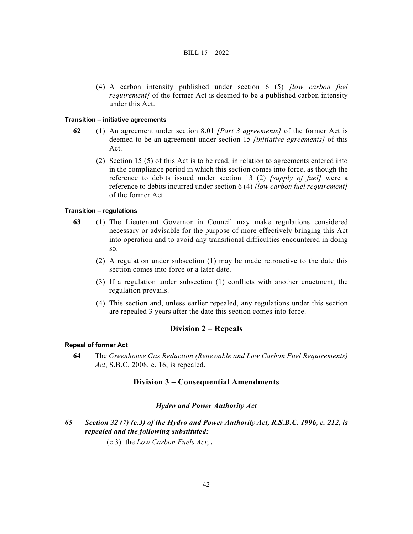(4) A carbon intensity published under section 6 (5) *[low carbon fuel requirement]* of the former Act is deemed to be a published carbon intensity under this Act.

#### **Transition – initiative agreements**

- **62** (1) An agreement under section 8.01 *[Part 3 agreements]* of the former Act is deemed to be an agreement under section 15 *[initiative agreements]* of this Act.
	- (2) Section 15 (5) of this Act is to be read, in relation to agreements entered into in the compliance period in which this section comes into force, as though the reference to debits issued under section 13 (2) *[supply of fuel]* were a reference to debits incurred under section 6 (4) *[low carbon fuel requirement]* of the former Act.

# **Transition – regulations**

- **63** (1) The Lieutenant Governor in Council may make regulations considered necessary or advisable for the purpose of more effectively bringing this Act into operation and to avoid any transitional difficulties encountered in doing so.
	- (2) A regulation under subsection (1) may be made retroactive to the date this section comes into force or a later date.
	- (3) If a regulation under subsection (1) conflicts with another enactment, the regulation prevails.
	- (4) This section and, unless earlier repealed, any regulations under this section are repealed 3 years after the date this section comes into force.

#### **Division 2 – Repeals**

## **Repeal of former Act**

**64** The *Greenhouse Gas Reduction (Renewable and Low Carbon Fuel Requirements) Act*, S.B.C. 2008, c. 16, is repealed.

# **Division 3 – Consequential Amendments**

#### *Hydro and Power Authority Act*

*65 Section 32 (7) (c.3) of the Hydro and Power Authority Act, R.S.B.C. 1996, c. 212, is repealed and the following substituted:* 

(c.3) the *Low Carbon Fuels Act*; *.*